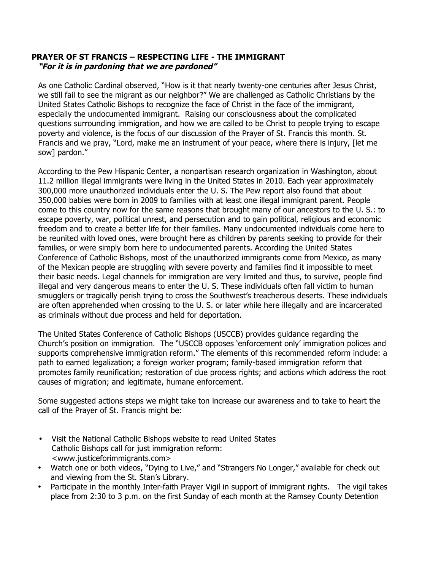## **PRAYER OF ST FRANCIS – RESPECTING LIFE - THE IMMIGRANT "For it is in pardoning that we are pardoned"**

As one Catholic Cardinal observed, "How is it that nearly twenty-one centuries after Jesus Christ, we still fail to see the migrant as our neighbor?" We are challenged as Catholic Christians by the United States Catholic Bishops to recognize the face of Christ in the face of the immigrant, especially the undocumented immigrant. Raising our consciousness about the complicated questions surrounding immigration, and how we are called to be Christ to people trying to escape poverty and violence, is the focus of our discussion of the Prayer of St. Francis this month. St. Francis and we pray, "Lord, make me an instrument of your peace, where there is injury, [let me sow] pardon."

According to the Pew Hispanic Center, a nonpartisan research organization in Washington, about 11.2 million illegal immigrants were living in the United States in 2010. Each year approximately 300,000 more unauthorized individuals enter the U. S. The Pew report also found that about 350,000 babies were born in 2009 to families with at least one illegal immigrant parent. People come to this country now for the same reasons that brought many of our ancestors to the U. S.: to escape poverty, war, political unrest, and persecution and to gain political, religious and economic freedom and to create a better life for their families. Many undocumented individuals come here to be reunited with loved ones, were brought here as children by parents seeking to provide for their families, or were simply born here to undocumented parents. According the United States Conference of Catholic Bishops, most of the unauthorized immigrants come from Mexico, as many of the Mexican people are struggling with severe poverty and families find it impossible to meet their basic needs. Legal channels for immigration are very limited and thus, to survive, people find illegal and very dangerous means to enter the U. S. These individuals often fall victim to human smugglers or tragically perish trying to cross the Southwest's treacherous deserts. These individuals are often apprehended when crossing to the U. S. or later while here illegally and are incarcerated as criminals without due process and held for deportation.

The United States Conference of Catholic Bishops (USCCB) provides guidance regarding the Church's position on immigration. The "USCCB opposes 'enforcement only' immigration polices and supports comprehensive immigration reform." The elements of this recommended reform include: a path to earned legalization; a foreign worker program; family-based immigration reform that promotes family reunification; restoration of due process rights; and actions which address the root causes of migration; and legitimate, humane enforcement.

Some suggested actions steps we might take ton increase our awareness and to take to heart the call of the Prayer of St. Francis might be:

- Visit the National Catholic Bishops website to read United States Catholic Bishops call for just immigration reform: <www.justiceforimmigrants.com>
- Watch one or both videos, "Dying to Live," and "Strangers No Longer," available for check out and viewing from the St. Stan's Library.
- Participate in the monthly Inter-faith Prayer Vigil in support of immigrant rights. The vigil takes place from 2:30 to 3 p.m. on the first Sunday of each month at the Ramsey County Detention